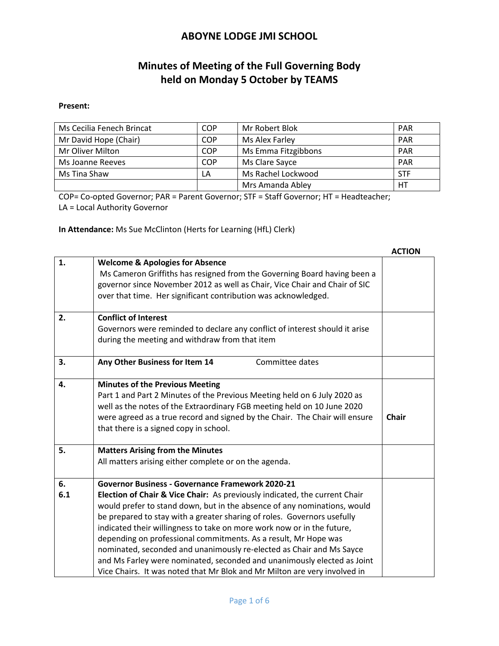# **Minutes of Meeting of the Full Governing Body held on Monday 5 October by TEAMS**

#### **Present:**

| Ms Cecilia Fenech Brincat | COP        | Mr Robert Blok      | <b>PAR</b> |
|---------------------------|------------|---------------------|------------|
| Mr David Hope (Chair)     | <b>COP</b> | Ms Alex Farley      | <b>PAR</b> |
| Mr Oliver Milton          | <b>COP</b> | Ms Emma Fitzgibbons | <b>PAR</b> |
| Ms Joanne Reeves          | COP        | Ms Clare Sayce      | <b>PAR</b> |
| Ms Tina Shaw              | LA         | Ms Rachel Lockwood  | <b>STF</b> |
|                           |            | Mrs Amanda Abley    | НT         |

COP= Co-opted Governor; PAR = Parent Governor; STF = Staff Governor; HT = Headteacher; LA = Local Authority Governor

**In Attendance:** Ms Sue McClinton (Herts for Learning (HfL) Clerk)

|     |                                                                             | <b>ACTION</b> |
|-----|-----------------------------------------------------------------------------|---------------|
| 1.  | <b>Welcome &amp; Apologies for Absence</b>                                  |               |
|     | Ms Cameron Griffiths has resigned from the Governing Board having been a    |               |
|     | governor since November 2012 as well as Chair, Vice Chair and Chair of SIC  |               |
|     | over that time. Her significant contribution was acknowledged.              |               |
| 2.  | <b>Conflict of Interest</b>                                                 |               |
|     | Governors were reminded to declare any conflict of interest should it arise |               |
|     | during the meeting and withdraw from that item                              |               |
| 3.  | Any Other Business for Item 14<br>Committee dates                           |               |
| 4.  | <b>Minutes of the Previous Meeting</b>                                      |               |
|     | Part 1 and Part 2 Minutes of the Previous Meeting held on 6 July 2020 as    |               |
|     | well as the notes of the Extraordinary FGB meeting held on 10 June 2020     |               |
|     | were agreed as a true record and signed by the Chair. The Chair will ensure | <b>Chair</b>  |
|     | that there is a signed copy in school.                                      |               |
| 5.  | <b>Matters Arising from the Minutes</b>                                     |               |
|     | All matters arising either complete or on the agenda.                       |               |
| 6.  | Governor Business - Governance Framework 2020-21                            |               |
| 6.1 | Election of Chair & Vice Chair: As previously indicated, the current Chair  |               |
|     | would prefer to stand down, but in the absence of any nominations, would    |               |
|     | be prepared to stay with a greater sharing of roles. Governors usefully     |               |
|     | indicated their willingness to take on more work now or in the future,      |               |
|     | depending on professional commitments. As a result, Mr Hope was             |               |
|     | nominated, seconded and unanimously re-elected as Chair and Ms Sayce        |               |
|     | and Ms Farley were nominated, seconded and unanimously elected as Joint     |               |
|     | Vice Chairs. It was noted that Mr Blok and Mr Milton are very involved in   |               |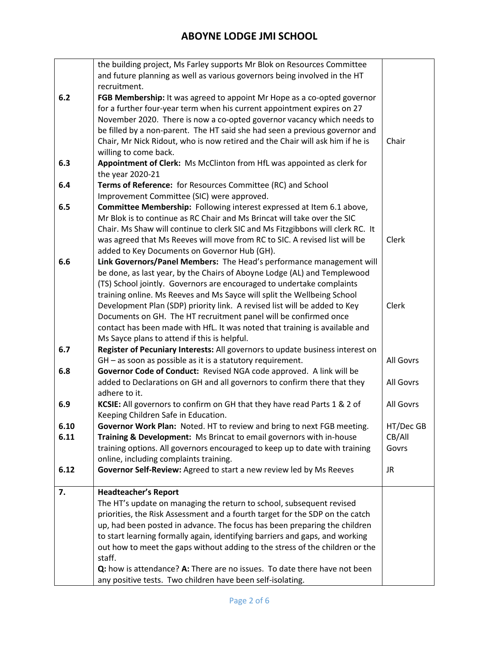|              | the building project, Ms Farley supports Mr Blok on Resources Committee                                                                       |                     |
|--------------|-----------------------------------------------------------------------------------------------------------------------------------------------|---------------------|
|              | and future planning as well as various governors being involved in the HT                                                                     |                     |
|              | recruitment.                                                                                                                                  |                     |
| 6.2          | FGB Membership: It was agreed to appoint Mr Hope as a co-opted governor                                                                       |                     |
|              | for a further four-year term when his current appointment expires on 27                                                                       |                     |
|              | November 2020. There is now a co-opted governor vacancy which needs to                                                                        |                     |
|              | be filled by a non-parent. The HT said she had seen a previous governor and                                                                   |                     |
|              | Chair, Mr Nick Ridout, who is now retired and the Chair will ask him if he is                                                                 | Chair               |
|              | willing to come back.                                                                                                                         |                     |
| 6.3          | Appointment of Clerk: Ms McClinton from HfL was appointed as clerk for                                                                        |                     |
|              | the year 2020-21                                                                                                                              |                     |
| 6.4          | Terms of Reference: for Resources Committee (RC) and School                                                                                   |                     |
|              | Improvement Committee (SIC) were approved.                                                                                                    |                     |
| 6.5          | Committee Membership: Following interest expressed at Item 6.1 above,                                                                         |                     |
|              | Mr Blok is to continue as RC Chair and Ms Brincat will take over the SIC                                                                      |                     |
|              | Chair. Ms Shaw will continue to clerk SIC and Ms Fitzgibbons will clerk RC. It                                                                |                     |
|              | was agreed that Ms Reeves will move from RC to SIC. A revised list will be                                                                    | Clerk               |
|              | added to Key Documents on Governor Hub (GH).                                                                                                  |                     |
| 6.6          | Link Governors/Panel Members: The Head's performance management will                                                                          |                     |
|              | be done, as last year, by the Chairs of Aboyne Lodge (AL) and Templewood                                                                      |                     |
|              | (TS) School jointly. Governors are encouraged to undertake complaints                                                                         |                     |
|              | training online. Ms Reeves and Ms Sayce will split the Wellbeing School                                                                       |                     |
|              | Development Plan (SDP) priority link. A revised list will be added to Key                                                                     | Clerk               |
|              | Documents on GH. The HT recruitment panel will be confirmed once                                                                              |                     |
|              | contact has been made with HfL. It was noted that training is available and                                                                   |                     |
|              | Ms Sayce plans to attend if this is helpful.                                                                                                  |                     |
| 6.7          | Register of Pecuniary Interests: All governors to update business interest on                                                                 |                     |
|              | GH - as soon as possible as it is a statutory requirement.                                                                                    | All Govrs           |
| 6.8          | Governor Code of Conduct: Revised NGA code approved. A link will be                                                                           |                     |
|              | added to Declarations on GH and all governors to confirm there that they                                                                      | All Govrs           |
|              | adhere to it.                                                                                                                                 |                     |
| 6.9          | KCSIE: All governors to confirm on GH that they have read Parts 1 & 2 of                                                                      | All Govrs           |
|              | Keeping Children Safe in Education.                                                                                                           |                     |
| 6.10<br>6.11 | Governor Work Plan: Noted. HT to review and bring to next FGB meeting.<br>Training & Development: Ms Brincat to email governors with in-house | HT/Dec GB<br>CB/All |
|              | training options. All governors encouraged to keep up to date with training                                                                   | Govrs               |
|              | online, including complaints training.                                                                                                        |                     |
| 6.12         | Governor Self-Review: Agreed to start a new review led by Ms Reeves                                                                           | <b>JR</b>           |
|              |                                                                                                                                               |                     |
| 7.           | <b>Headteacher's Report</b>                                                                                                                   |                     |
|              | The HT's update on managing the return to school, subsequent revised                                                                          |                     |
|              | priorities, the Risk Assessment and a fourth target for the SDP on the catch                                                                  |                     |
|              | up, had been posted in advance. The focus has been preparing the children                                                                     |                     |
|              | to start learning formally again, identifying barriers and gaps, and working                                                                  |                     |
|              | out how to meet the gaps without adding to the stress of the children or the                                                                  |                     |
|              | staff.                                                                                                                                        |                     |
|              | Q: how is attendance? A: There are no issues. To date there have not been                                                                     |                     |
|              | any positive tests. Two children have been self-isolating.                                                                                    |                     |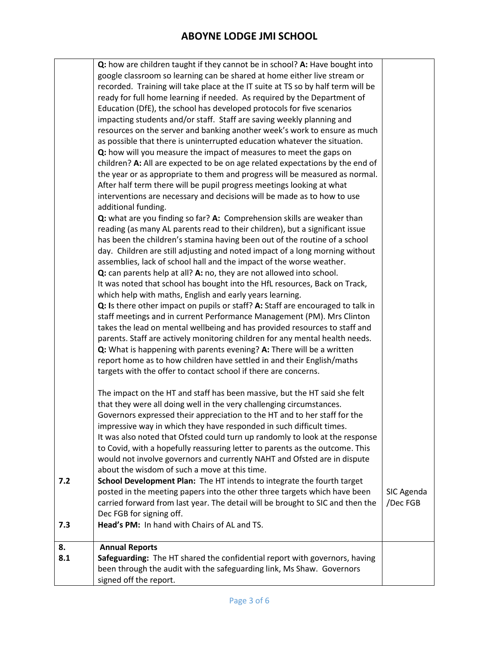|     | Q: how are children taught if they cannot be in school? A: Have bought into      |            |
|-----|----------------------------------------------------------------------------------|------------|
|     | google classroom so learning can be shared at home either live stream or         |            |
|     | recorded. Training will take place at the IT suite at TS so by half term will be |            |
|     | ready for full home learning if needed. As required by the Department of         |            |
|     | Education (DfE), the school has developed protocols for five scenarios           |            |
|     | impacting students and/or staff. Staff are saving weekly planning and            |            |
|     | resources on the server and banking another week's work to ensure as much        |            |
|     |                                                                                  |            |
|     | as possible that there is uninterrupted education whatever the situation.        |            |
|     | Q: how will you measure the impact of measures to meet the gaps on               |            |
|     | children? A: All are expected to be on age related expectations by the end of    |            |
|     | the year or as appropriate to them and progress will be measured as normal.      |            |
|     | After half term there will be pupil progress meetings looking at what            |            |
|     | interventions are necessary and decisions will be made as to how to use          |            |
|     | additional funding.                                                              |            |
|     | Q: what are you finding so far? A: Comprehension skills are weaker than          |            |
|     | reading (as many AL parents read to their children), but a significant issue     |            |
|     | has been the children's stamina having been out of the routine of a school       |            |
|     | day. Children are still adjusting and noted impact of a long morning without     |            |
|     | assemblies, lack of school hall and the impact of the worse weather.             |            |
|     | Q: can parents help at all? A: no, they are not allowed into school.             |            |
|     | It was noted that school has bought into the HfL resources, Back on Track,       |            |
|     |                                                                                  |            |
|     | which help with maths, English and early years learning.                         |            |
|     | Q: Is there other impact on pupils or staff? A: Staff are encouraged to talk in  |            |
|     | staff meetings and in current Performance Management (PM). Mrs Clinton           |            |
|     | takes the lead on mental wellbeing and has provided resources to staff and       |            |
|     | parents. Staff are actively monitoring children for any mental health needs.     |            |
|     | Q: What is happening with parents evening? A: There will be a written            |            |
|     | report home as to how children have settled in and their English/maths           |            |
|     | targets with the offer to contact school if there are concerns.                  |            |
|     |                                                                                  |            |
|     | The impact on the HT and staff has been massive, but the HT said she felt        |            |
|     | that they were all doing well in the very challenging circumstances.             |            |
|     | Governors expressed their appreciation to the HT and to her staff for the        |            |
|     | impressive way in which they have responded in such difficult times.             |            |
|     | It was also noted that Ofsted could turn up randomly to look at the response     |            |
|     | to Covid, with a hopefully reassuring letter to parents as the outcome. This     |            |
|     | would not involve governors and currently NAHT and Ofsted are in dispute         |            |
|     |                                                                                  |            |
|     | about the wisdom of such a move at this time.                                    |            |
| 7.2 | School Development Plan: The HT intends to integrate the fourth target           |            |
|     | posted in the meeting papers into the other three targets which have been        | SIC Agenda |
|     | carried forward from last year. The detail will be brought to SIC and then the   | /Dec FGB   |
|     | Dec FGB for signing off.                                                         |            |
| 7.3 | Head's PM: In hand with Chairs of AL and TS.                                     |            |
|     |                                                                                  |            |
| 8.  | <b>Annual Reports</b>                                                            |            |
| 8.1 | Safeguarding: The HT shared the confidential report with governors, having       |            |
|     | been through the audit with the safeguarding link, Ms Shaw. Governors            |            |
|     | signed off the report.                                                           |            |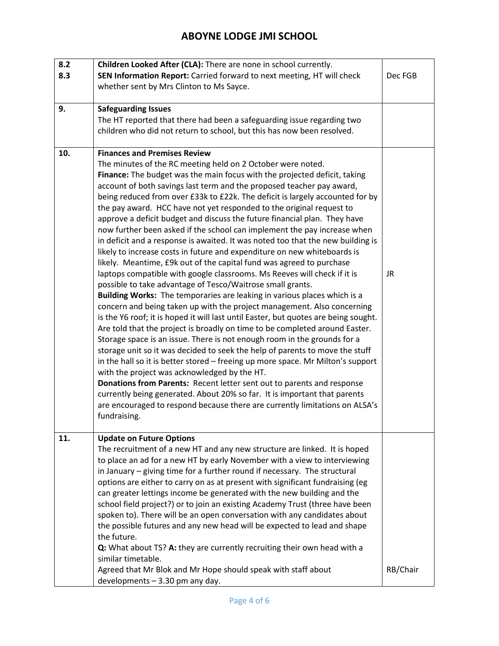| 8.2 | Children Looked After (CLA): There are none in school currently.                                                                                    |          |
|-----|-----------------------------------------------------------------------------------------------------------------------------------------------------|----------|
| 8.3 | SEN Information Report: Carried forward to next meeting, HT will check                                                                              | Dec FGB  |
|     | whether sent by Mrs Clinton to Ms Sayce.                                                                                                            |          |
|     |                                                                                                                                                     |          |
| 9.  | <b>Safeguarding Issues</b>                                                                                                                          |          |
|     | The HT reported that there had been a safeguarding issue regarding two                                                                              |          |
|     | children who did not return to school, but this has now been resolved.                                                                              |          |
|     |                                                                                                                                                     |          |
| 10. | <b>Finances and Premises Review</b>                                                                                                                 |          |
|     | The minutes of the RC meeting held on 2 October were noted.                                                                                         |          |
|     | Finance: The budget was the main focus with the projected deficit, taking                                                                           |          |
|     | account of both savings last term and the proposed teacher pay award,                                                                               |          |
|     | being reduced from over £33k to £22k. The deficit is largely accounted for by                                                                       |          |
|     | the pay award. HCC have not yet responded to the original request to                                                                                |          |
|     | approve a deficit budget and discuss the future financial plan. They have                                                                           |          |
|     | now further been asked if the school can implement the pay increase when                                                                            |          |
|     | in deficit and a response is awaited. It was noted too that the new building is                                                                     |          |
|     | likely to increase costs in future and expenditure on new whiteboards is                                                                            |          |
|     | likely. Meantime, £9k out of the capital fund was agreed to purchase                                                                                |          |
|     | laptops compatible with google classrooms. Ms Reeves will check if it is                                                                            | JR       |
|     | possible to take advantage of Tesco/Waitrose small grants.                                                                                          |          |
|     | Building Works: The temporaries are leaking in various places which is a                                                                            |          |
|     | concern and being taken up with the project management. Also concerning                                                                             |          |
|     | is the Y6 roof; it is hoped it will last until Easter, but quotes are being sought.                                                                 |          |
|     | Are told that the project is broadly on time to be completed around Easter.                                                                         |          |
|     | Storage space is an issue. There is not enough room in the grounds for a                                                                            |          |
|     | storage unit so it was decided to seek the help of parents to move the stuff                                                                        |          |
|     |                                                                                                                                                     |          |
|     | in the hall so it is better stored - freeing up more space. Mr Milton's support                                                                     |          |
|     | with the project was acknowledged by the HT.                                                                                                        |          |
|     | Donations from Parents: Recent letter sent out to parents and response<br>currently being generated. About 20% so far. It is important that parents |          |
|     |                                                                                                                                                     |          |
|     | are encouraged to respond because there are currently limitations on ALSA's                                                                         |          |
|     | fundraising.                                                                                                                                        |          |
| 11. | <b>Update on Future Options</b>                                                                                                                     |          |
|     | The recruitment of a new HT and any new structure are linked. It is hoped                                                                           |          |
|     | to place an ad for a new HT by early November with a view to interviewing                                                                           |          |
|     | in January – giving time for a further round if necessary. The structural                                                                           |          |
|     | options are either to carry on as at present with significant fundraising (eg                                                                       |          |
|     | can greater lettings income be generated with the new building and the                                                                              |          |
|     | school field project?) or to join an existing Academy Trust (three have been                                                                        |          |
|     | spoken to). There will be an open conversation with any candidates about                                                                            |          |
|     | the possible futures and any new head will be expected to lead and shape                                                                            |          |
|     | the future.                                                                                                                                         |          |
|     |                                                                                                                                                     |          |
|     | Q: What about TS? A: they are currently recruiting their own head with a<br>similar timetable.                                                      |          |
|     |                                                                                                                                                     |          |
|     | Agreed that Mr Blok and Mr Hope should speak with staff about                                                                                       | RB/Chair |
|     | developments - 3.30 pm any day.                                                                                                                     |          |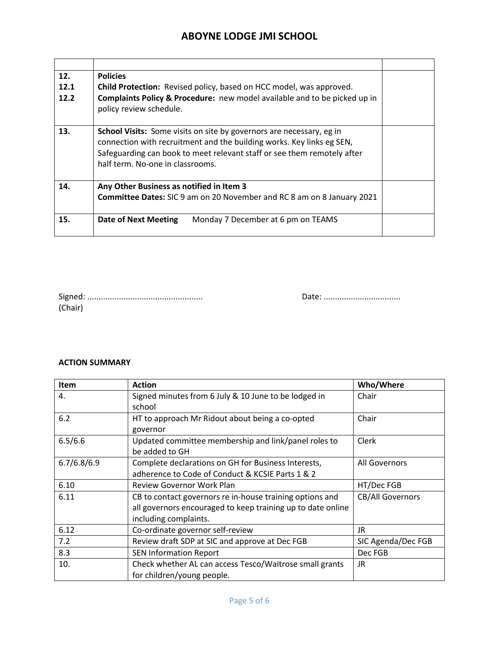| 12.<br>12.1<br>12.2 | <b>Policies</b><br>Child Protection: Revised policy, based on HCC model, was approved.<br><b>Complaints Policy &amp; Procedure:</b> new model available and to be picked up in<br>policy review schedule.                                                           |  |
|---------------------|---------------------------------------------------------------------------------------------------------------------------------------------------------------------------------------------------------------------------------------------------------------------|--|
| 13.                 | <b>School Visits:</b> Some visits on site by governors are necessary, eg in<br>connection with recruitment and the building works. Key links eg SEN,<br>Safeguarding can book to meet relevant staff or see them remotely after<br>half term. No-one in classrooms. |  |
| 14.                 | Any Other Business as notified in Item 3<br>Committee Dates: SIC 9 am on 20 November and RC 8 am on 8 January 2021                                                                                                                                                  |  |
| 15.                 | <b>Date of Next Meeting</b><br>Monday 7 December at 6 pm on TEAMS                                                                                                                                                                                                   |  |

| (Chair) |  |  |  |
|---------|--|--|--|

Signed: ................................................... Date: ..................................

#### **ACTION SUMMARY**

| <b>Item</b> | <b>Action</b>                                                                                                                                    | Who/Where               |
|-------------|--------------------------------------------------------------------------------------------------------------------------------------------------|-------------------------|
| 4.          | Signed minutes from 6 July & 10 June to be lodged in<br>school                                                                                   | Chair                   |
| 6.2         | HT to approach Mr Ridout about being a co-opted<br>governor                                                                                      | Chair                   |
| 6.5/6.6     | Updated committee membership and link/panel roles to<br>be added to GH                                                                           | Clerk                   |
| 6.7/6.8/6.9 | Complete declarations on GH for Business Interests,<br>adherence to Code of Conduct & KCSIE Parts 1 & 2                                          | All Governors           |
| 6.10        | <b>Review Governor Work Plan</b>                                                                                                                 | HT/Dec FGB              |
| 6.11        | CB to contact governors re in-house training options and<br>all governors encouraged to keep training up to date online<br>including complaints. | <b>CB/All Governors</b> |
| 6.12        | Co-ordinate governor self-review                                                                                                                 | JR                      |
| 7.2         | Review draft SDP at SIC and approve at Dec FGB                                                                                                   | SIC Agenda/Dec FGB      |
| 8.3         | <b>SEN Information Report</b>                                                                                                                    | Dec FGB                 |
| 10.         | Check whether AL can access Tesco/Waitrose small grants<br>for children/young people.                                                            | JR                      |